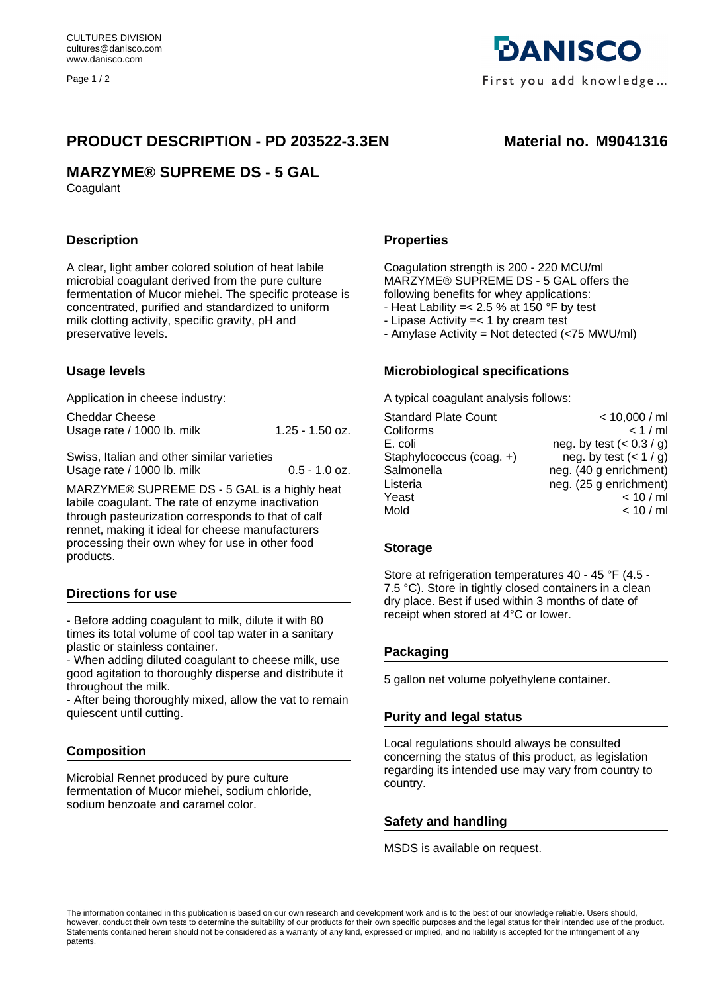Page 1/2

# PRODUCT DESCRIPTION - PD 203522-3.3EN Material no. M9041316

# **MARZYME® SUPREME DS - 5 GAL**

**Coagulant** 

## **Description**

A clear, light amber colored solution of heat labile microbial coagulant derived from the pure culture fermentation of Mucor miehei. The specific protease is concentrated, purified and standardized to uniform milk clotting activity, specific gravity, pH and preservative levels.

### **Usage levels**

Application in cheese industry:

| Cheddar Cheese             |                 |
|----------------------------|-----------------|
| Usage rate / 1000 lb. milk | 1.25 - 1.50 oz. |

Swiss, Italian and other similar varieties Usage rate / 1000 lb. milk 0.5 - 1.0 oz.

MARZYME® SUPREME DS - 5 GAL is a highly heat labile coagulant. The rate of enzyme inactivation through pasteurization corresponds to that of calf rennet, making it ideal for cheese manufacturers processing their own whey for use in other food products.

### **Directions for use**

- Before adding coagulant to milk, dilute it with 80 times its total volume of cool tap water in a sanitary plastic or stainless container.

- When adding diluted coagulant to cheese milk, use good agitation to thoroughly disperse and distribute it throughout the milk.

- After being thoroughly mixed, allow the vat to remain quiescent until cutting.

### **Composition**

Microbial Rennet produced by pure culture fermentation of Mucor miehei, sodium chloride, sodium benzoate and caramel color.

**Properties**

Coagulation strength is 200 - 220 MCU/ml MARZYME® SUPREME DS - 5 GAL offers the following benefits for whey applications:

- Heat Lability =  $< 2.5$  % at 150 °F by test
- Lipase Activity =< 1 by cream test
- Amylase Activity = Not detected (<75 MWU/ml)

## **Microbiological specifications**

A typical coagulant analysis follows:

| < 10,000 / ml            |
|--------------------------|
| < 1/ml                   |
| neg. by test $(0.3 / g)$ |
| neg. by test $(< 1 / g)$ |
| neg. (40 g enrichment)   |
| neg. (25 g enrichment)   |
| < 10 / m                 |
| < 10 / m                 |
|                          |

#### **Storage**

Store at refrigeration temperatures 40 - 45 °F (4.5 - 7.5 °C). Store in tightly closed containers in a clean dry place. Best if used within 3 months of date of receipt when stored at 4°C or lower.

### **Packaging**

5 gallon net volume polyethylene container.

### **Purity and legal status**

Local regulations should always be consulted concerning the status of this product, as legislation regarding its intended use may vary from country to country.

### **Safety and handling**

MSDS is available on request.

The information contained in this publication is based on our own research and development work and is to the best of our knowledge reliable. Users should, however, conduct their own tests to determine the suitability of our products for their own specific purposes and the legal status for their intended use of the product. Statements contained herein should not be considered as a warranty of any kind, expressed or implied, and no liability is accepted for the infringement of any patents.